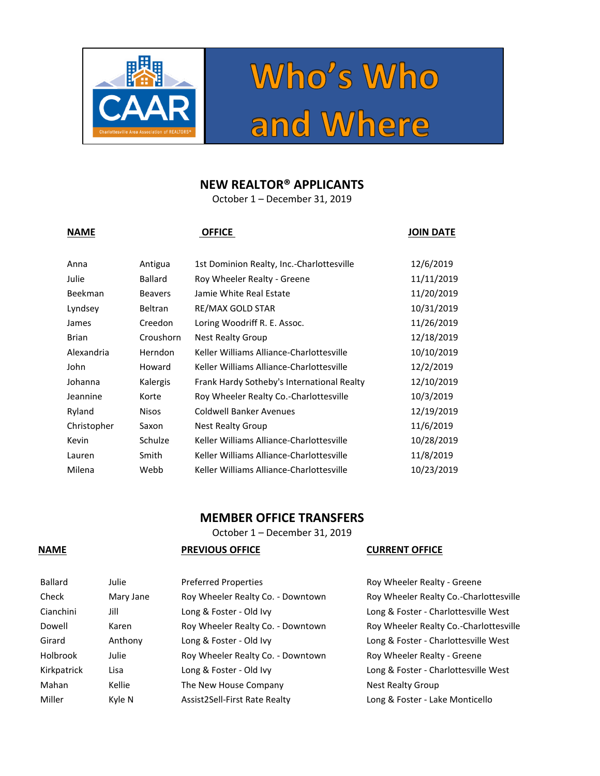

# Who's Who<br>and Where

## **NEW REALTOR® APPLICANTS**

October 1 – December 31, 2019

**NAME OFFICE JOIN DATE**

| Anna           | Antigua        | 1st Dominion Realty, Inc.-Charlottesville  | 12/6/2019  |
|----------------|----------------|--------------------------------------------|------------|
| Julie          | <b>Ballard</b> | Roy Wheeler Realty - Greene                | 11/11/2019 |
| <b>Beekman</b> | <b>Beavers</b> | Jamie White Real Estate                    | 11/20/2019 |
| Lyndsey        | <b>Beltran</b> | RE/MAX GOLD STAR                           | 10/31/2019 |
| James          | Creedon        | Loring Woodriff R. E. Assoc.               | 11/26/2019 |
| <b>Brian</b>   | Croushorn      | Nest Realty Group                          | 12/18/2019 |
| Alexandria     | Herndon        | Keller Williams Alliance-Charlottesville   | 10/10/2019 |
| John           | Howard         | Keller Williams Alliance-Charlottesville   | 12/2/2019  |
| Johanna        | Kalergis       | Frank Hardy Sotheby's International Realty | 12/10/2019 |
| Jeannine       | Korte          | Roy Wheeler Realty Co.-Charlottesville     | 10/3/2019  |
| Ryland         | <b>Nisos</b>   | <b>Coldwell Banker Avenues</b>             | 12/19/2019 |
| Christopher    | Saxon          | Nest Realty Group                          | 11/6/2019  |
| Kevin          | Schulze        | Keller Williams Alliance-Charlottesville   | 10/28/2019 |
| Lauren         | Smith          | Keller Williams Alliance-Charlottesville   | 11/8/2019  |
| Milena         | Webb           | Keller Williams Alliance-Charlottesville   | 10/23/2019 |

## **MEMBER OFFICE TRANSFERS**

October 1 – December 31, 2019

# Ballard Julie Preferred Properties and Roy Wheeler Realty - Greene Check Mary Jane Roy Wheeler Realty Co. - Downtown Roy Wheeler Realty Co.-Charlottesville Cianchini Jill Long & Foster - Old Ivy Long & Foster - Charlottesville West Dowell Karen Roy Wheeler Realty Co. - Downtown Roy Wheeler Realty Co.-Charlottesville Girard Anthony Long & Foster - Old Ivy Long & Foster - Charlottesville West Holbrook Julie Roy Wheeler Realty Co. - Downtown Roy Wheeler Realty - Greene Kirkpatrick Lisa Long & Foster - Old Ivy Long & Foster - Charlottesville West Mahan Kellie The New House Company Nest Realty Group Miller Kyle N Assist2Sell-First Rate Realty Long & Foster - Lake Monticello

#### **NAME PREVIOUS OFFICE CURRENT OFFICE**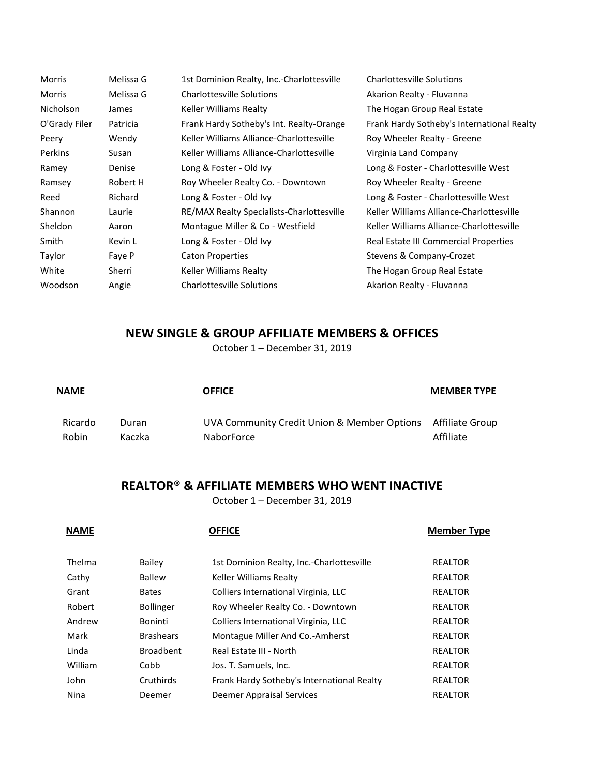| <b>Morris</b>  | Melissa G | 1st Dominion Realty, Inc.-Charlottesville | <b>Charlottesville Solutions</b>           |
|----------------|-----------|-------------------------------------------|--------------------------------------------|
| <b>Morris</b>  | Melissa G | <b>Charlottesville Solutions</b>          | Akarion Realty - Fluvanna                  |
| Nicholson      | James     | Keller Williams Realty                    | The Hogan Group Real Estate                |
| O'Grady Filer  | Patricia  | Frank Hardy Sotheby's Int. Realty-Orange  | Frank Hardy Sotheby's International Realty |
| Peery          | Wendy     | Keller Williams Alliance-Charlottesville  | Roy Wheeler Realty - Greene                |
| <b>Perkins</b> | Susan     | Keller Williams Alliance-Charlottesville  | Virginia Land Company                      |
| Ramey          | Denise    | Long & Foster - Old Ivy                   | Long & Foster - Charlottesville West       |
| Ramsey         | Robert H  | Roy Wheeler Realty Co. - Downtown         | Roy Wheeler Realty - Greene                |
| Reed           | Richard   | Long & Foster - Old Ivy                   | Long & Foster - Charlottesville West       |
| Shannon        | Laurie    | RE/MAX Realty Specialists-Charlottesville | Keller Williams Alliance-Charlottesville   |
| Sheldon        | Aaron     | Montague Miller & Co - Westfield          | Keller Williams Alliance-Charlottesville   |
| Smith          | Kevin L   | Long & Foster - Old Ivy                   | Real Estate III Commercial Properties      |
| Taylor         | Faye P    | <b>Caton Properties</b>                   | Stevens & Company-Crozet                   |
| White          | Sherri    | Keller Williams Realty                    | The Hogan Group Real Estate                |
| Woodson        | Angie     | <b>Charlottesville Solutions</b>          | Akarion Realty - Fluvanna                  |

## **NEW SINGLE & GROUP AFFILIATE MEMBERS & OFFICES**

October 1 – December 31, 2019

| <b>NAME</b>             |                 | <b>OFFICE</b>                                                             | <b>MEMBER TYPE</b> |
|-------------------------|-----------------|---------------------------------------------------------------------------|--------------------|
| Ricardo<br><b>Robin</b> | Duran<br>Kaczka | UVA Community Credit Union & Member Options Affiliate Group<br>NaborForce | Affiliate          |

## **REALTOR® & AFFILIATE MEMBERS WHO WENT INACTIVE**

October 1 – December 31, 2019

| <b>NAME</b> |                  | <b>OFFICE</b>                              | <b>Member Type</b> |
|-------------|------------------|--------------------------------------------|--------------------|
| Thelma      | Bailey           | 1st Dominion Realty, Inc.-Charlottesville  | <b>REALTOR</b>     |
| Cathy       | Ballew           | Keller Williams Realty                     | <b>REALTOR</b>     |
| Grant       | <b>Bates</b>     | Colliers International Virginia, LLC       | <b>REALTOR</b>     |
| Robert      | <b>Bollinger</b> | Roy Wheeler Realty Co. - Downtown          | <b>REALTOR</b>     |
| Andrew      | <b>Boninti</b>   | Colliers International Virginia, LLC       | <b>REALTOR</b>     |
| Mark        | <b>Brashears</b> | Montague Miller And Co.-Amherst            | <b>REALTOR</b>     |
| Linda       | <b>Broadbent</b> | Real Estate III - North                    | <b>REALTOR</b>     |
| William     | Cobb             | Jos. T. Samuels, Inc.                      | <b>REALTOR</b>     |
| John        | Cruthirds        | Frank Hardy Sotheby's International Realty | <b>REALTOR</b>     |
| Nina        | Deemer           | Deemer Appraisal Services                  | <b>REALTOR</b>     |